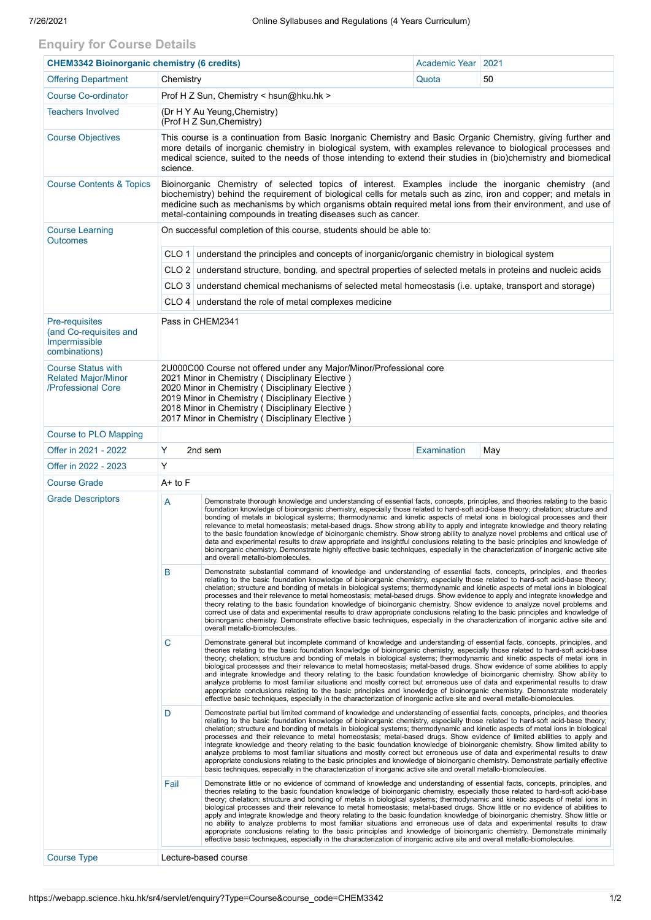## **Enquiry for Course Details**

| <b>CHEM3342 Bioinorganic chemistry (6 credits)</b>                            |                                                                                                                                                                                                                                                                                                                                                                                                             |                                                                                                                                                                                                                                                                                                                                                                                                                                                                                                                                                                                                                                                                                                                                                                                                                                                                                                                                                                                                                                                   | Academic Year   2021 |     |  |  |  |  |  |
|-------------------------------------------------------------------------------|-------------------------------------------------------------------------------------------------------------------------------------------------------------------------------------------------------------------------------------------------------------------------------------------------------------------------------------------------------------------------------------------------------------|---------------------------------------------------------------------------------------------------------------------------------------------------------------------------------------------------------------------------------------------------------------------------------------------------------------------------------------------------------------------------------------------------------------------------------------------------------------------------------------------------------------------------------------------------------------------------------------------------------------------------------------------------------------------------------------------------------------------------------------------------------------------------------------------------------------------------------------------------------------------------------------------------------------------------------------------------------------------------------------------------------------------------------------------------|----------------------|-----|--|--|--|--|--|
| <b>Offering Department</b>                                                    | Chemistry                                                                                                                                                                                                                                                                                                                                                                                                   |                                                                                                                                                                                                                                                                                                                                                                                                                                                                                                                                                                                                                                                                                                                                                                                                                                                                                                                                                                                                                                                   | Quota                | 50  |  |  |  |  |  |
| <b>Course Co-ordinator</b>                                                    | Prof H Z Sun, Chemistry < hsun@hku.hk >                                                                                                                                                                                                                                                                                                                                                                     |                                                                                                                                                                                                                                                                                                                                                                                                                                                                                                                                                                                                                                                                                                                                                                                                                                                                                                                                                                                                                                                   |                      |     |  |  |  |  |  |
| <b>Teachers Involved</b>                                                      | (Dr H Y Au Yeung, Chemistry)<br>(Prof H Z Sun, Chemistry)                                                                                                                                                                                                                                                                                                                                                   |                                                                                                                                                                                                                                                                                                                                                                                                                                                                                                                                                                                                                                                                                                                                                                                                                                                                                                                                                                                                                                                   |                      |     |  |  |  |  |  |
| <b>Course Objectives</b>                                                      | This course is a continuation from Basic Inorganic Chemistry and Basic Organic Chemistry, giving further and<br>more details of inorganic chemistry in biological system, with examples relevance to biological processes and<br>medical science, suited to the needs of those intending to extend their studies in (bio)chemistry and biomedical<br>science.                                               |                                                                                                                                                                                                                                                                                                                                                                                                                                                                                                                                                                                                                                                                                                                                                                                                                                                                                                                                                                                                                                                   |                      |     |  |  |  |  |  |
| <b>Course Contents &amp; Topics</b>                                           | Bioinorganic Chemistry of selected topics of interest. Examples include the inorganic chemistry (and<br>biochemistry) behind the requirement of biological cells for metals such as zinc, iron and copper; and metals in<br>medicine such as mechanisms by which organisms obtain required metal ions from their environment, and use of<br>metal-containing compounds in treating diseases such as cancer. |                                                                                                                                                                                                                                                                                                                                                                                                                                                                                                                                                                                                                                                                                                                                                                                                                                                                                                                                                                                                                                                   |                      |     |  |  |  |  |  |
| <b>Course Learning</b><br><b>Outcomes</b>                                     | On successful completion of this course, students should be able to:                                                                                                                                                                                                                                                                                                                                        |                                                                                                                                                                                                                                                                                                                                                                                                                                                                                                                                                                                                                                                                                                                                                                                                                                                                                                                                                                                                                                                   |                      |     |  |  |  |  |  |
|                                                                               | CLO 1 understand the principles and concepts of inorganic/organic chemistry in biological system                                                                                                                                                                                                                                                                                                            |                                                                                                                                                                                                                                                                                                                                                                                                                                                                                                                                                                                                                                                                                                                                                                                                                                                                                                                                                                                                                                                   |                      |     |  |  |  |  |  |
|                                                                               | CLO 2 understand structure, bonding, and spectral properties of selected metals in proteins and nucleic acids                                                                                                                                                                                                                                                                                               |                                                                                                                                                                                                                                                                                                                                                                                                                                                                                                                                                                                                                                                                                                                                                                                                                                                                                                                                                                                                                                                   |                      |     |  |  |  |  |  |
|                                                                               |                                                                                                                                                                                                                                                                                                                                                                                                             | CLO 3 understand chemical mechanisms of selected metal homeostasis (i.e. uptake, transport and storage)                                                                                                                                                                                                                                                                                                                                                                                                                                                                                                                                                                                                                                                                                                                                                                                                                                                                                                                                           |                      |     |  |  |  |  |  |
|                                                                               |                                                                                                                                                                                                                                                                                                                                                                                                             | CLO 4 understand the role of metal complexes medicine                                                                                                                                                                                                                                                                                                                                                                                                                                                                                                                                                                                                                                                                                                                                                                                                                                                                                                                                                                                             |                      |     |  |  |  |  |  |
| Pre-requisites<br>(and Co-requisites and<br>Impermissible<br>combinations)    | Pass in CHEM2341                                                                                                                                                                                                                                                                                                                                                                                            |                                                                                                                                                                                                                                                                                                                                                                                                                                                                                                                                                                                                                                                                                                                                                                                                                                                                                                                                                                                                                                                   |                      |     |  |  |  |  |  |
| <b>Course Status with</b><br><b>Related Major/Minor</b><br>/Professional Core | 2U000C00 Course not offered under any Major/Minor/Professional core<br>2021 Minor in Chemistry (Disciplinary Elective)<br>2020 Minor in Chemistry (Disciplinary Elective)<br>2019 Minor in Chemistry (Disciplinary Elective)<br>2018 Minor in Chemistry (Disciplinary Elective)<br>2017 Minor in Chemistry (Disciplinary Elective)                                                                          |                                                                                                                                                                                                                                                                                                                                                                                                                                                                                                                                                                                                                                                                                                                                                                                                                                                                                                                                                                                                                                                   |                      |     |  |  |  |  |  |
| <b>Course to PLO Mapping</b>                                                  |                                                                                                                                                                                                                                                                                                                                                                                                             |                                                                                                                                                                                                                                                                                                                                                                                                                                                                                                                                                                                                                                                                                                                                                                                                                                                                                                                                                                                                                                                   |                      |     |  |  |  |  |  |
| Offer in 2021 - 2022                                                          | Υ                                                                                                                                                                                                                                                                                                                                                                                                           | 2nd sem                                                                                                                                                                                                                                                                                                                                                                                                                                                                                                                                                                                                                                                                                                                                                                                                                                                                                                                                                                                                                                           | Examination          | May |  |  |  |  |  |
| Offer in 2022 - 2023                                                          | Y                                                                                                                                                                                                                                                                                                                                                                                                           |                                                                                                                                                                                                                                                                                                                                                                                                                                                                                                                                                                                                                                                                                                                                                                                                                                                                                                                                                                                                                                                   |                      |     |  |  |  |  |  |
| <b>Course Grade</b>                                                           | $A+$ to $F$                                                                                                                                                                                                                                                                                                                                                                                                 |                                                                                                                                                                                                                                                                                                                                                                                                                                                                                                                                                                                                                                                                                                                                                                                                                                                                                                                                                                                                                                                   |                      |     |  |  |  |  |  |
| <b>Grade Descriptors</b>                                                      | Α                                                                                                                                                                                                                                                                                                                                                                                                           | Demonstrate thorough knowledge and understanding of essential facts, concepts, principles, and theories relating to the basic<br>foundation knowledge of bioinorganic chemistry, especially those related to hard-soft acid-base theory; chelation; structure and<br>bonding of metals in biological systems; thermodynamic and kinetic aspects of metal ions in biological processes and their<br>relevance to metal homeostasis; metal-based drugs. Show strong ability to apply and integrate knowledge and theory relating<br>to the basic foundation knowledge of bioinorganic chemistry. Show strong ability to analyze novel problems and critical use of<br>data and experimental results to draw appropriate and insightful conclusions relating to the basic principles and knowledge of<br>bioinorganic chemistry. Demonstrate highly effective basic techniques, especially in the characterization of inorganic active site<br>and overall metallo-biomolecules.                                                                     |                      |     |  |  |  |  |  |
|                                                                               | B                                                                                                                                                                                                                                                                                                                                                                                                           | Demonstrate substantial command of knowledge and understanding of essential facts, concepts, principles, and theories<br>relating to the basic foundation knowledge of bioinorganic chemistry, especially those related to hard-soft acid-base theory;<br>chelation; structure and bonding of metals in biological systems; thermodynamic and kinetic aspects of metal ions in biological<br>processes and their relevance to metal homeostasis; metal-based drugs. Show evidence to apply and integrate knowledge and<br>theory relating to the basic foundation knowledge of bioinorganic chemistry. Show evidence to analyze novel problems and<br>correct use of data and experimental results to draw appropriate conclusions relating to the basic principles and knowledge of<br>bioinorganic chemistry. Demonstrate effective basic techniques, especially in the characterization of inorganic active site and<br>overall metallo-biomolecules.                                                                                          |                      |     |  |  |  |  |  |
|                                                                               | C                                                                                                                                                                                                                                                                                                                                                                                                           | Demonstrate general but incomplete command of knowledge and understanding of essential facts, concepts, principles, and<br>theories relating to the basic foundation knowledge of bioinorganic chemistry, especially those related to hard-soft acid-base<br>theory; chelation; structure and bonding of metals in biological systems; thermodynamic and kinetic aspects of metal ions in<br>biological processes and their relevance to metal homeostasis; metal-based drugs. Show evidence of some abilities to apply<br>and integrate knowledge and theory relating to the basic foundation knowledge of bioinorganic chemistry. Show ability to<br>analyze problems to most familiar situations and mostly correct but erroneous use of data and experimental results to draw<br>appropriate conclusions relating to the basic principles and knowledge of bioinorganic chemistry. Demonstrate moderately<br>effective basic techniques, especially in the characterization of inorganic active site and overall metallo-biomolecules.        |                      |     |  |  |  |  |  |
|                                                                               | D                                                                                                                                                                                                                                                                                                                                                                                                           | Demonstrate partial but limited command of knowledge and understanding of essential facts, concepts, principles, and theories<br>relating to the basic foundation knowledge of bioinorganic chemistry, especially those related to hard-soft acid-base theory;<br>chelation; structure and bonding of metals in biological systems; thermodynamic and kinetic aspects of metal ions in biological<br>processes and their relevance to metal homeostasis; metal-based drugs. Show evidence of limited abilities to apply and<br>integrate knowledge and theory relating to the basic foundation knowledge of bioinorganic chemistry. Show limited ability to<br>analyze problems to most familiar situations and mostly correct but erroneous use of data and experimental results to draw<br>appropriate conclusions relating to the basic principles and knowledge of bioinorganic chemistry. Demonstrate partially effective<br>basic techniques, especially in the characterization of inorganic active site and overall metallo-biomolecules. |                      |     |  |  |  |  |  |
|                                                                               | Fail                                                                                                                                                                                                                                                                                                                                                                                                        | Demonstrate little or no evidence of command of knowledge and understanding of essential facts, concepts, principles, and<br>theories relating to the basic foundation knowledge of bioinorganic chemistry, especially those related to hard-soft acid-base<br>theory; chelation; structure and bonding of metals in biological systems; thermodynamic and kinetic aspects of metal ions in<br>biological processes and their relevance to metal homeostasis; metal-based drugs. Show little or no evidence of abilities to<br>apply and integrate knowledge and theory relating to the basic foundation knowledge of bioinorganic chemistry. Show little or<br>no ability to analyze problems to most familiar situations and erroneous use of data and experimental results to draw<br>appropriate conclusions relating to the basic principles and knowledge of bioinorganic chemistry. Demonstrate minimally<br>effective basic techniques, especially in the characterization of inorganic active site and overall metallo-biomolecules.     |                      |     |  |  |  |  |  |
| <b>Course Type</b>                                                            |                                                                                                                                                                                                                                                                                                                                                                                                             | Lecture-based course                                                                                                                                                                                                                                                                                                                                                                                                                                                                                                                                                                                                                                                                                                                                                                                                                                                                                                                                                                                                                              |                      |     |  |  |  |  |  |